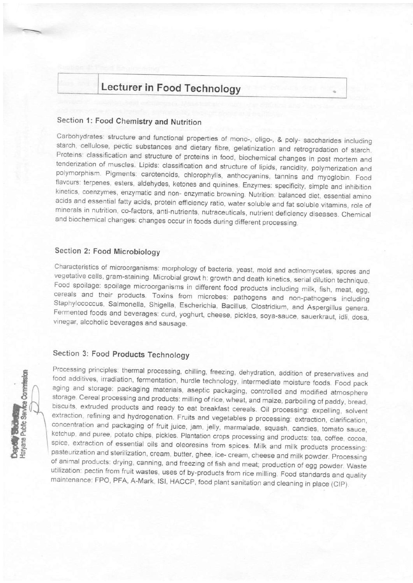# Lecturer in Food Technology

## Section 1: Food Chemistry and Nutrition

Carbohydrates: structure and functional properties of mono-, oligo-, & poly- saccharides including starch, cellulose, pectic substances and dietary fibre, gelatinization and retrogradation of starch. Proteins: classification and structure of proteins in food, biochemical changes in post mortem and tenderization of muscles. Lipids: classification and structure of lipids, rancidity, polymerization and polymorphism. Pigments: carotenoids, chlorophylls, anthocyanins, tannins and myoglobin. Food flavours: terpenes, esters, aldehydes, ketones and quinines. Enzymes: specificity, simple and inhibition kinetics, coenzymes, enzymatic and non- enzymatic browning. Nutrition: balanced diet, essential amino acids and essential fatty acids, protein efficiency ratio, water soluble and fat soluble vitamins, role of minerals in nutrition, co-factors, anti-nutrients, nutraceuticals, nutrient deficiency diseases. Chemical and biochemical changes: changes occur in foods during different processing.

### Section 2: Food Microbiology

Characteristics of microorganisms: morphology of bacteria, yeast, mold and actinomycetes, spores and vegetative cells, gram-staining. Microbial growt h: growth and death kinetics, serial dilution technique. Food spoilage: spoilage microorganisms in different food products including milk, fish, meat, egg, cereals and their products. Toxins from microbes: pathogens and non-pathogens including Staphylococcus, Salmonella, Shigella, Escherichia, Bacillus, Clostridium, and Aspergillus genera. Fermented foods and beverages: curd, yoghurt, cheese, pickles, soya-sauce, sauerkraut, idli, dosa, vinegar, alcoholic beverages and sausage.

### Section 3: Food Products Technology



Processing principles: thermal processing, chilling, freezing, dehydration, addition of preservatives and food additives, irradiation, fermentation, hurdle technology, intermediate moisture foods. Food pack aging and storage: packaging materials, aseptic packaging, controlled and modified atmosphere storage. Cereal processing and products: milling of rice, wheat, and maize, parboiling of paddy, bread, biscuits, extruded products and ready to eat breakfast cereals. Oil processing: expelling, solvent extraction, refining and hydrogenation. Fruits and vegetables p processing: extraction, clarification, concentration and packaging of fruit juice, jam, jelly, marmalade, squash, candies, tomato sauce, ketchup, and puree, potato chips, pickles. Plantation crops processing and products: tea, coffee, cocoa, spice, extraction of essential oils and oleoresins from spices. Milk and milk products processing: pasteurization and sterilization, cream, butter, ghee, ice- cream, cheese and milk powder. Processing of animal products: drying, canning, and freezing of fish and meat; production of egg powder. Waste utilization: pectin from fruit wastes, uses of by-products from rice milling. Food standards and quality maintenance: FPO, PFA, A-Mark, ISI, HACCP, food plant sanitation and cleaning in place (CIP).